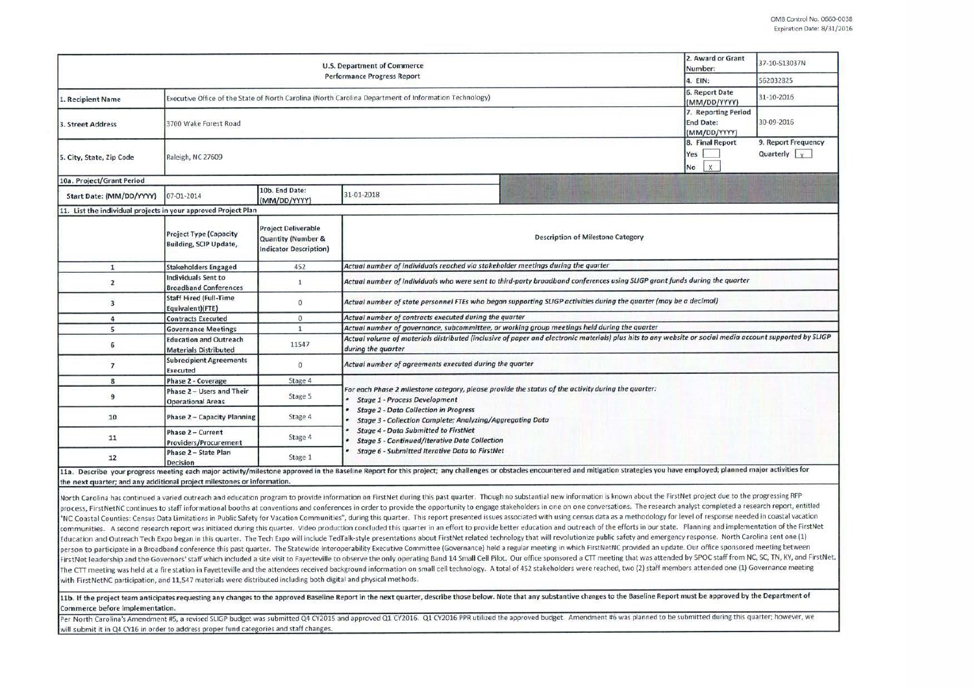|                                                                | 2. Award or Grant<br>Number:                                                                          | 37-10-S13037N                                                                     |                                                                                                                                                                                                                                                                                                                                                                                                |                                   |                                                        |  |  |  |  |
|----------------------------------------------------------------|-------------------------------------------------------------------------------------------------------|-----------------------------------------------------------------------------------|------------------------------------------------------------------------------------------------------------------------------------------------------------------------------------------------------------------------------------------------------------------------------------------------------------------------------------------------------------------------------------------------|-----------------------------------|--------------------------------------------------------|--|--|--|--|
|                                                                | 4. EIN:                                                                                               | 562032825                                                                         |                                                                                                                                                                                                                                                                                                                                                                                                |                                   |                                                        |  |  |  |  |
| 1. Recipient Name                                              | Executive Office of the State of North Carolina (North Carolina Department of Information Technology) | 6. Report Date<br>(MM/DD/YYYY)                                                    | 31-10-2016                                                                                                                                                                                                                                                                                                                                                                                     |                                   |                                                        |  |  |  |  |
| 3. Street Address                                              | 3700 Wake Forest Road                                                                                 | 7. Reporting Period<br><b>End Date:</b><br>(MM/DD/YYYY)                           | 30-09-2016                                                                                                                                                                                                                                                                                                                                                                                     |                                   |                                                        |  |  |  |  |
| 5. City, State, Zip Code                                       | Raleigh, NC 27609                                                                                     |                                                                                   |                                                                                                                                                                                                                                                                                                                                                                                                | 8. Final Report<br>Yes<br>X<br>No | 9. Report Frequency<br>Quarterly $\vert \cdot \rangle$ |  |  |  |  |
| 10a. Project/Grant Period                                      |                                                                                                       |                                                                                   |                                                                                                                                                                                                                                                                                                                                                                                                |                                   |                                                        |  |  |  |  |
| Start Date: (MM/DD/YYYY)                                       | 07-01-2014                                                                                            | 10b. End Date:<br>(MM/DD/YYYY)                                                    | 31-01-2018                                                                                                                                                                                                                                                                                                                                                                                     |                                   |                                                        |  |  |  |  |
| 11. List the individual projects in your approved Project Plan |                                                                                                       |                                                                                   |                                                                                                                                                                                                                                                                                                                                                                                                |                                   |                                                        |  |  |  |  |
|                                                                | <b>Project Type (Capacity</b><br>Building, SCIP Update,                                               | <b>Project Deliverable</b><br>Quantity (Number &<br><b>Indicator Description)</b> | <b>Description of Milestone Category</b>                                                                                                                                                                                                                                                                                                                                                       |                                   |                                                        |  |  |  |  |
| $\mathbf{1}$                                                   | <b>Stakeholders Engaged</b>                                                                           | 452                                                                               | Actual number of individuals reached via stakeholder meetings during the quarter                                                                                                                                                                                                                                                                                                               |                                   |                                                        |  |  |  |  |
| $\overline{2}$                                                 | Individuals Sent to<br><b>Broadband Conferences</b>                                                   | $\mathbf{1}$                                                                      | Actual number of individuals who were sent to third-party broadband conferences using SLIGP grant funds during the quarter                                                                                                                                                                                                                                                                     |                                   |                                                        |  |  |  |  |
| $\overline{3}$                                                 | <b>Staff Hired (Full-Time</b><br>Equivalent)(FTE)                                                     | $\Omega$                                                                          | Actual number of state personnel FTEs who began supporting SLIGP activities during the quarter (may be a decimal)                                                                                                                                                                                                                                                                              |                                   |                                                        |  |  |  |  |
| 4                                                              | <b>Contracts Executed</b>                                                                             | $\sigma$                                                                          | Actual number of contracts executed during the quarter                                                                                                                                                                                                                                                                                                                                         |                                   |                                                        |  |  |  |  |
| 5                                                              | <b>Governance Meetings</b>                                                                            | $\mathbf{1}$                                                                      | Actual number of governance, subcommittee, or working group meetings held during the quarter                                                                                                                                                                                                                                                                                                   |                                   |                                                        |  |  |  |  |
| 6                                                              | <b>Education and Outreach</b><br><b>Materials Distributed</b>                                         | 11547                                                                             | Actual volume of materials distributed (inclusive of paper and electronic materials) plus hits to any website or social media account supported by SLIGP<br>during the quarter                                                                                                                                                                                                                 |                                   |                                                        |  |  |  |  |
| $\overline{ }$                                                 | <b>Subrecipient Agreements</b><br>Executed                                                            | $\alpha$                                                                          | Actual number of agreements executed during the quarter                                                                                                                                                                                                                                                                                                                                        |                                   |                                                        |  |  |  |  |
| 8                                                              | Phase 2 - Coverage                                                                                    | Stage 4                                                                           |                                                                                                                                                                                                                                                                                                                                                                                                |                                   |                                                        |  |  |  |  |
| 9                                                              | Phase 2 - Users and Their<br><b>Operational Areas</b>                                                 | Stage 5                                                                           | For each Phase 2 milestone category, please provide the status of the activity during the quarter:<br>* Stage 1 - Process Development<br><b>Stage 2 - Data Collection in Progress</b><br>Stage 3 - Collection Complete; Analyzing/Aggregating Data                                                                                                                                             |                                   |                                                        |  |  |  |  |
| 10                                                             | Phase 2 - Capacity Planning                                                                           | Stage 4                                                                           |                                                                                                                                                                                                                                                                                                                                                                                                |                                   |                                                        |  |  |  |  |
| 11                                                             | Phase 2 - Current<br>Providers/Procurement                                                            | Stage 4                                                                           | <b>Stage 4 - Data Submitted to FirstNet</b><br><b>Stage 5 - Continued/Iterative Data Collection</b><br><b>Stage 6 - Submitted Iterative Data to FirstNet</b><br>11a. Describe your progress meeting each major activity/milestone approved in the Baseline Report for this project; any challenges or obstacles encountered and mitigation strategies you have employed; planned major activit |                                   |                                                        |  |  |  |  |
| 12                                                             | Phase 2 - State Plan<br>Decision                                                                      | Stage 1                                                                           |                                                                                                                                                                                                                                                                                                                                                                                                |                                   |                                                        |  |  |  |  |

the next quarter: and any additional project milestones or information.

North Carolina has continued a varied outreach and education program to provide information on FirstNet during this past quarter. Though no substantial new information is known about the FirstNet project due to the progres process. First Net NC continues to staff informational booths at conventions and conferences in order to provide the opportunity to engage stakeholders in one on one conversations. The research analyst completed a research "NC Coastal Counties: Census Data Limitations in Public Safety for Vacation Communities", during this quarter. This report presented issues associated with using census data as a methodology for level of response needed in communities. A second research report was initiated during this quarter. Video production concluded this quarter in an effort to provide better education and outreach of the efforts in our state. Planning and implementatio Education and Outreach Tech Expo began in this quarter. The Tech Expo will include TedTalk-style presentations about FirstNet related technology that will revolutionize public safety and emergency response. North Carolina person to participate in a Broadband conference this past quarter. The Statewide Interoperability Executive Committee (Governance) held a regular meeting in which FirstNetNC provided an update. Our office sponsored meeting FirstNet leadership and the Governors' staff which included a site visit to Fayetteville to observe the only operating Band 14 Small Cell Pilot. Our office sponsored a CTT meeting that was attended by SPOC staff from NC, S The CTT meeting was held at a fire station in Fayetteville and the attendees received background information on small cell technology. A total of 452 stakeholders were reached, two (2) staff members attended one (1) Govern with First Net NC participation, and 11,547 materials were distributed including both digital and physical methods.

11b. If the project team anticipates requesting any changes to the approved Baseline Report in the next quarter, describe those below. Note that any substantive changes to the Baseline Report must be approved by the Depart **Commerce before implementation.** 

Per North Carolina's Amendment #5, a revised SLIGP budget was submitted Q4 CY2015 and approved Q1 CY2016. Q1 CY2016 PPR utilized the approved budget. Amendment #6 was planned to be submitted during this quarter; however, w will submit it in Q4 CY16 in order to address proper fund categories and staff changes.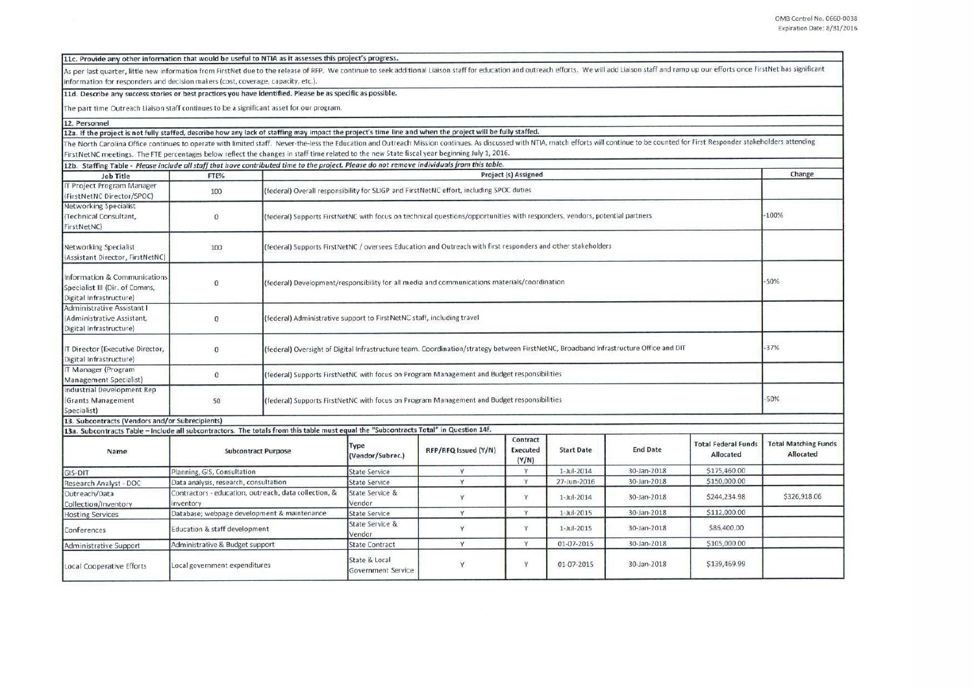| 11c. Provide any other information that would be useful to NTIA as it assesses this project's progress. |
|---------------------------------------------------------------------------------------------------------|
|---------------------------------------------------------------------------------------------------------|

As per last quarter, little new information from FirstNet due to the release of RFP. We continue to seek additional Liaison staff for education and outreach efforts. We will add Liaison staff and ramp up our efforts once F information for responders and decision makers (cost, coverage, capacity, etc.).

## 11d. Describe any success stories or best practices you have identified. Please be as specific as possible.

The part time Outreach liaison staff continues to be a significant asset for our program.

12. Personnel

12a. If the project is not fully staffed, describe how any lack of staffing may impact the project's time line and when the project will be fully staffed.

The North Carolina Office continues to operate with limited staff. Never-the-less the Education and Outreach Mission continues. As discussed with NTIA, match efforts will continue to be counted for First Responder stakehol First Net NC meetings. The FTE percentages below reflect the changes in staff time related to the new State fiscal year beginning July 1, 2016.

| 12b. Staffing Table - Please include all staff that have contributed time to the project. Please do not remove individuals from this table. |                                                                   |                                                                                                                                       |                                                                                            |                      |                               |                   |                 |                                         |                                          |
|---------------------------------------------------------------------------------------------------------------------------------------------|-------------------------------------------------------------------|---------------------------------------------------------------------------------------------------------------------------------------|--------------------------------------------------------------------------------------------|----------------------|-------------------------------|-------------------|-----------------|-----------------------------------------|------------------------------------------|
| Job Title                                                                                                                                   | FTE%                                                              | Project (s) Assigned                                                                                                                  |                                                                                            |                      |                               |                   |                 | Change                                  |                                          |
| <b>IT Project Program Manager</b><br>(FirstNetNC Director/SPOC)                                                                             | 100                                                               |                                                                                                                                       | (federal) Overall responsibility for SLIGP and FirstNetNC effort, including SPOC duties    |                      |                               |                   |                 |                                         |                                          |
| Networking Specialist<br>(Technical Consultant,<br>FirstNetNC                                                                               | $\mathbf{0}$                                                      | (federal) Supports FirstNetNC with focus on technical questions/opportunities with responders, vendors, potential partners            |                                                                                            |                      |                               |                   |                 |                                         | $-100%$                                  |
| Networking Specialist<br>(Assistant Director, FirstNetNC)                                                                                   | 100                                                               | (federal) Supports FirstNetNC / oversees Education and Outreach with first responders and other stakeholders                          |                                                                                            |                      |                               |                   |                 |                                         |                                          |
| Information & Communications<br>Specialist III (Dir. of Comms,<br>Digital Infrastructure)                                                   | $\bf{0}$                                                          | (federal) Development/responsibility for all media and communications materials/coordination                                          |                                                                                            |                      |                               |                   |                 |                                         | $-50%$                                   |
| Administrative Assistant I<br>(Administrative Assistant,<br>Digital Infrastructure)                                                         | $\bf{0}$                                                          |                                                                                                                                       | (federal) Administrative support to FirstNetNC staff, including travel                     |                      |                               |                   |                 |                                         |                                          |
| IT Director (Executive Director,<br>Digital Infrastructure)                                                                                 | $\mathbf{0}$                                                      | (federal) Oversight of Digital Infrastructure team. Coordination/strategy between FirstNetNC, Broadband Infrastructure Office and DIT |                                                                                            |                      |                               |                   |                 |                                         | $-37%$                                   |
| IT Manager (Program<br>Management Specialist)                                                                                               | $\bf{0}$                                                          |                                                                                                                                       | (federal) Supports FirstNetNC with focus on Program Management and Budget responsibilities |                      |                               |                   |                 |                                         |                                          |
| Industrial Development Rep<br>(Grants Management<br>Specialist)                                                                             | 50                                                                | (federal) Supports FirstNetNC with focus on Program Management and Budget responsibilities                                            |                                                                                            |                      |                               |                   |                 |                                         | $-50%$                                   |
| 13. Subcontracts (Vendors and/or Subrecipients)                                                                                             |                                                                   |                                                                                                                                       |                                                                                            |                      |                               |                   |                 |                                         |                                          |
| 13a. Subcontracts Table - include all subcontractors. The totals from this table must equal the "Subcontracts Total" in Question 14f.       |                                                                   |                                                                                                                                       |                                                                                            |                      |                               |                   |                 |                                         |                                          |
| Name                                                                                                                                        | <b>Subcontract Purpose</b>                                        |                                                                                                                                       | Type<br>(Vendor/Subrec.)                                                                   | RFP/RFQ Issued (Y/N) | Contract<br>Executed<br>(Y/N) | <b>Start Date</b> | <b>End Date</b> | <b>Total Federal Funds</b><br>Allocated | <b>Total Matching Funds</b><br>Allocated |
| GIS-DIT                                                                                                                                     | Planning, GIS, Consultation                                       |                                                                                                                                       | <b>State Service</b>                                                                       | Y                    | Y                             | 1-Jul-2014        | 30-Jan-2018     | \$175,460.00                            |                                          |
| Research Analyst - DOC                                                                                                                      | Data analysis, research, consultation                             |                                                                                                                                       | <b>State Service</b>                                                                       | Y                    | Y                             | 27-Jun-2016       | 30-Jan-2018     | \$150,000.00                            |                                          |
| Outreach/Data<br>Collection/Inventory                                                                                                       | Contractors - education, outreach, data collection, &<br>nventory |                                                                                                                                       | State Service &<br>Vendor                                                                  | Y                    | Y                             | 1-Jul-2014        | 30-Jan-2018     | \$244,234.98                            | \$326,918.06                             |
| <b>Hosting Services</b>                                                                                                                     | Database; webpage development & maintenance                       |                                                                                                                                       | <b>State Service</b>                                                                       | Y                    | Y                             | 1-Jul-2015        | 30-Jan-2018     | \$112,000.00                            |                                          |
| Conferences                                                                                                                                 | Education & staff development                                     |                                                                                                                                       | State Service &<br>Vendor                                                                  | Y                    | Y                             | 1-Jul-2015        | 30-Jan-2018     | \$86,400.00                             |                                          |
| Administrative Support                                                                                                                      | Administrative & Budget support                                   |                                                                                                                                       | <b>State Contract</b>                                                                      | Y                    | Y                             | 01-07-2015        | 30-Jan-2018     | \$105,000.00                            |                                          |
| Local Cooperative Efforts                                                                                                                   | Local government expenditures                                     |                                                                                                                                       | State & Local<br>Government Service                                                        | Y                    | Y                             | 01-07-2015        | 30-Jan-2018     | \$139,469.99                            |                                          |